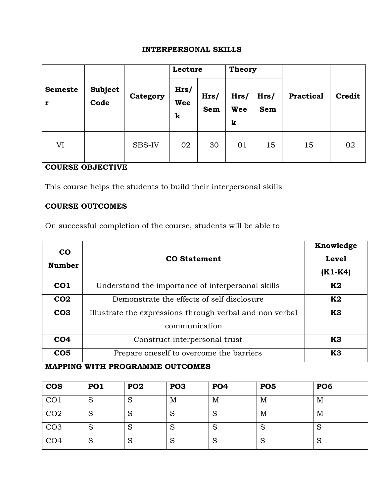# **INTERPERSONAL SKILLS**

|                     |                        | Category | Lecture          |                    | <b>Theory</b>           |             |                  |               |
|---------------------|------------------------|----------|------------------|--------------------|-------------------------|-------------|------------------|---------------|
| <b>Semeste</b><br>r | <b>Subject</b><br>Code |          | Hrs/<br>Wee<br>k | Hrs/<br><b>Sem</b> | Hrs/<br><b>Wee</b><br>k | Hrs/<br>Sem | <b>Practical</b> | <b>Credit</b> |
| VI                  |                        | SBS-IV   | 02               | 30                 | 01                      | 15          | 15               | 02            |

## **COURSE OBJECTIVE**

This course helps the students to build their interpersonal skills

## **COURSE OUTCOMES**

On successful completion of the course, students will be able to

| CO<br><b>Number</b> | <b>CO</b> Statement                                                       | Knowledge<br><b>Level</b><br>$(K1-K4)$ |
|---------------------|---------------------------------------------------------------------------|----------------------------------------|
| CO <sub>1</sub>     | Understand the importance of interpersonal skills                         | K2                                     |
| CO <sub>2</sub>     | Demonstrate the effects of self disclosure                                | K2                                     |
| CO <sub>3</sub>     | Illustrate the expressions through verbal and non verbal<br>communication | K3                                     |
| CO <sub>4</sub>     | Construct interpersonal trust                                             | K3                                     |
| CO <sub>5</sub>     | Prepare oneself to overcome the barriers                                  | K3                                     |

# **MAPPING WITH PROGRAMME OUTCOMES**

| <b>COS</b>      | <b>PO1</b>        | PO <sub>2</sub>  | PO <sub>3</sub> | <b>PO4</b>        | <b>PO5</b> | <b>PO6</b>       |
|-----------------|-------------------|------------------|-----------------|-------------------|------------|------------------|
| CO <sub>1</sub> | $\mathbf C$<br>P  | $\mathbf C$<br>Ю | M               | M                 | M          | M                |
| CO <sub>2</sub> | S                 | S                | ⊃               | S                 | M          | M                |
| CO <sub>3</sub> | $\mathbf C$<br>P  | S                | N               | $\mathbf C$<br>r. | S          | $\mathbf C$<br>⊃ |
| CO <sub>4</sub> | $\mathbf C$<br>r. | S                | ⊃               | c<br>r.           | S          | S                |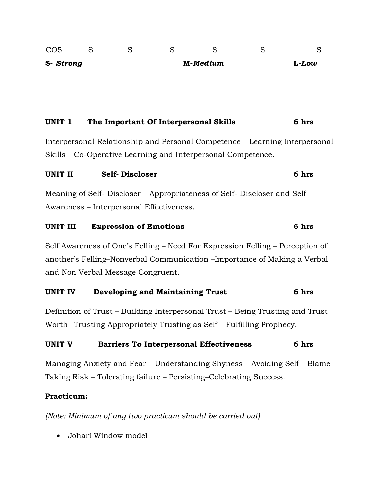| S-Strong |   |   | M-Medium |   | L-Low |   |
|----------|---|---|----------|---|-------|---|
|          | ∼ | ∼ |          | ∼ | ∼     | ັ |

### **UNIT 1 The Important Of Interpersonal Skills 6 hrs**

Interpersonal Relationship and Personal Competence – Learning Interpersonal Skills – Co-Operative Learning and Interpersonal Competence.

## **UNIT II Self- Discloser 6 hrs**

Meaning of Self- Discloser – Appropriateness of Self- Discloser and Self Awareness – Interpersonal Effectiveness.

#### **UNIT III Expression of Emotions 6 hrs**

Self Awareness of One's Felling – Need For Expression Felling – Perception of another's Felling–Nonverbal Communication –Importance of Making a Verbal and Non Verbal Message Congruent.

#### **UNIT IV Developing and Maintaining Trust 6 hrs**

Definition of Trust – Building Interpersonal Trust – Being Trusting and Trust Worth –Trusting Appropriately Trusting as Self – Fulfilling Prophecy.

#### **UNIT V Barriers To Interpersonal Effectiveness 6 hrs**

Managing Anxiety and Fear – Understanding Shyness – Avoiding Self – Blame – Taking Risk – Tolerating failure – Persisting–Celebrating Success.

### **Practicum:**

*(Note: Minimum of any two practicum should be carried out)*

Johari Window model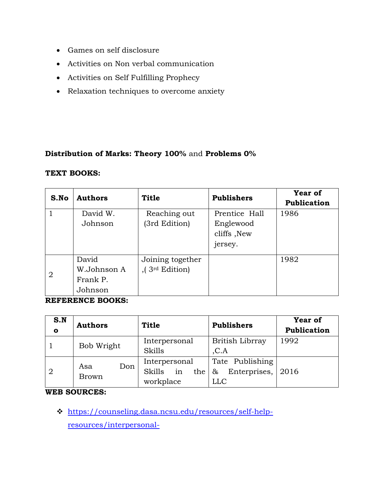- Games on self disclosure
- Activities on Non verbal communication
- Activities on Self Fulfilling Prophecy
- Relaxation techniques to overcome anxiety

### **Distribution of Marks: Theory 100%** and **Problems 0%**

#### **TEXT BOOKS:**

| S.No           | <b>Authors</b> | <b>Title</b>       | <b>Publishers</b> | <b>Year of</b><br>Publication |
|----------------|----------------|--------------------|-------------------|-------------------------------|
|                | David W.       | Reaching out       | Prentice Hall     | 1986                          |
|                | Johnson        | (3rd Edition)      | Englewood         |                               |
|                |                |                    | cliffs, New       |                               |
|                |                |                    | jersey.           |                               |
|                | David          | Joining together   |                   | 1982                          |
| $\overline{2}$ | W.Johnson A    | ,( $3rd Edition$ ) |                   |                               |
|                | Frank P.       |                    |                   |                               |
|                | Johnson        |                    |                   |                               |

#### **REFERENCE BOOKS:**

| S.N<br>$\mathbf o$ | <b>Authors</b>             | <b>Title</b>                                      | <b>Publishers</b>                           | Year of<br>Publication |
|--------------------|----------------------------|---------------------------------------------------|---------------------------------------------|------------------------|
|                    | Bob Wright                 | Interpersonal<br>Skills                           | British Librray<br>C.A                      | 1992                   |
| $\overline{2}$     | Don<br>Asa<br><b>Brown</b> | Interpersonal<br>in<br>Skills<br>the<br>workplace | Tate Publishing<br>Enterprises,<br>&<br>LLC | 2016                   |

### **WEB SOURCES:**

 [https://counseling.dasa.ncsu.edu/resources/self-help](https://counseling.dasa.ncsu.edu/resources/self-help-resources/interpersonal-skills/#:~:text=Interpersonal%20skills%20are%20measures%20of,to%20resolve%20conflict%20with%20others.)[resources/interpersonal-](https://counseling.dasa.ncsu.edu/resources/self-help-resources/interpersonal-skills/#:~:text=Interpersonal%20skills%20are%20measures%20of,to%20resolve%20conflict%20with%20others.)